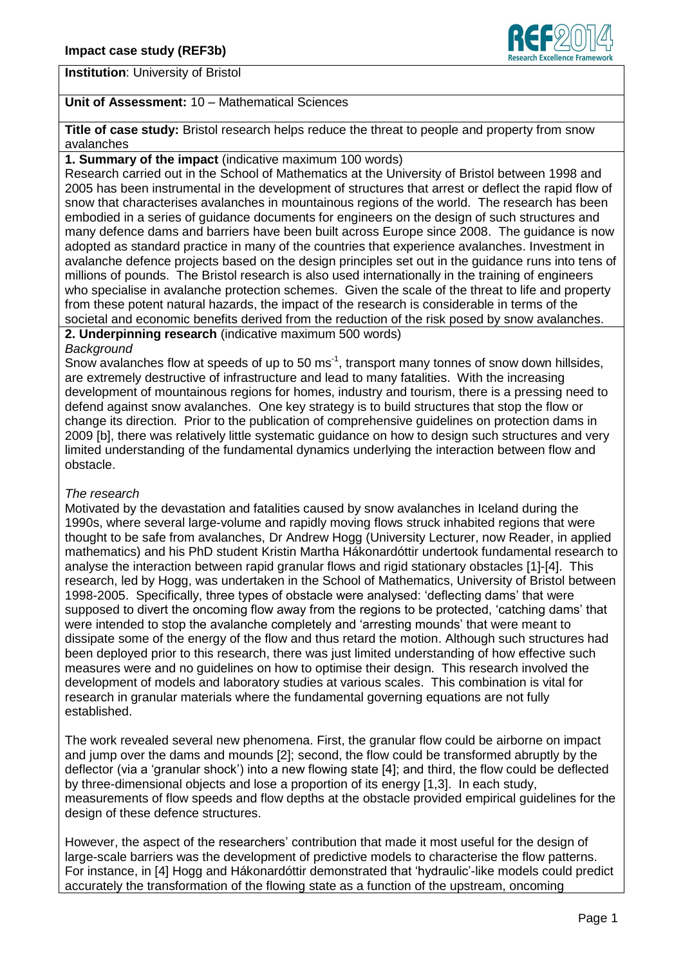

# **Institution**: University of Bristol

## **Unit of Assessment:** 10 – Mathematical Sciences

**Title of case study:** Bristol research helps reduce the threat to people and property from snow avalanches

### **1. Summary of the impact** (indicative maximum 100 words)

Research carried out in the School of Mathematics at the University of Bristol between 1998 and 2005 has been instrumental in the development of structures that arrest or deflect the rapid flow of snow that characterises avalanches in mountainous regions of the world. The research has been embodied in a series of guidance documents for engineers on the design of such structures and many defence dams and barriers have been built across Europe since 2008. The guidance is now adopted as standard practice in many of the countries that experience avalanches. Investment in avalanche defence projects based on the design principles set out in the guidance runs into tens of millions of pounds. The Bristol research is also used internationally in the training of engineers who specialise in avalanche protection schemes. Given the scale of the threat to life and property from these potent natural hazards, the impact of the research is considerable in terms of the societal and economic benefits derived from the reduction of the risk posed by snow avalanches.

**2. Underpinning research** (indicative maximum 500 words)

### *Background*

Snow avalanches flow at speeds of up to 50 ms<sup>-1</sup>, transport many tonnes of snow down hillsides, are extremely destructive of infrastructure and lead to many fatalities. With the increasing development of mountainous regions for homes, industry and tourism, there is a pressing need to defend against snow avalanches. One key strategy is to build structures that stop the flow or change its direction. Prior to the publication of comprehensive guidelines on protection dams in 2009 [b], there was relatively little systematic guidance on how to design such structures and very limited understanding of the fundamental dynamics underlying the interaction between flow and obstacle.

### *The research*

Motivated by the devastation and fatalities caused by snow avalanches in Iceland during the 1990s, where several large-volume and rapidly moving flows struck inhabited regions that were thought to be safe from avalanches, Dr Andrew Hogg (University Lecturer, now Reader, in applied mathematics) and his PhD student Kristin Martha Hákonardóttir undertook fundamental research to analyse the interaction between rapid granular flows and rigid stationary obstacles [1]-[4]. This research, led by Hogg, was undertaken in the School of Mathematics, University of Bristol between 1998-2005. Specifically, three types of obstacle were analysed: 'deflecting dams' that were supposed to divert the oncoming flow away from the regions to be protected, 'catching dams' that were intended to stop the avalanche completely and 'arresting mounds' that were meant to dissipate some of the energy of the flow and thus retard the motion. Although such structures had been deployed prior to this research, there was just limited understanding of how effective such measures were and no guidelines on how to optimise their design. This research involved the development of models and laboratory studies at various scales. This combination is vital for research in granular materials where the fundamental governing equations are not fully established.

The work revealed several new phenomena. First, the granular flow could be airborne on impact and jump over the dams and mounds [2]; second, the flow could be transformed abruptly by the deflector (via a 'granular shock') into a new flowing state [4]; and third, the flow could be deflected by three-dimensional objects and lose a proportion of its energy [1,3]. In each study, measurements of flow speeds and flow depths at the obstacle provided empirical guidelines for the design of these defence structures.

However, the aspect of the researchers' contribution that made it most useful for the design of large-scale barriers was the development of predictive models to characterise the flow patterns. For instance, in [4] Hogg and Hákonardóttir demonstrated that 'hydraulic'-like models could predict accurately the transformation of the flowing state as a function of the upstream, oncoming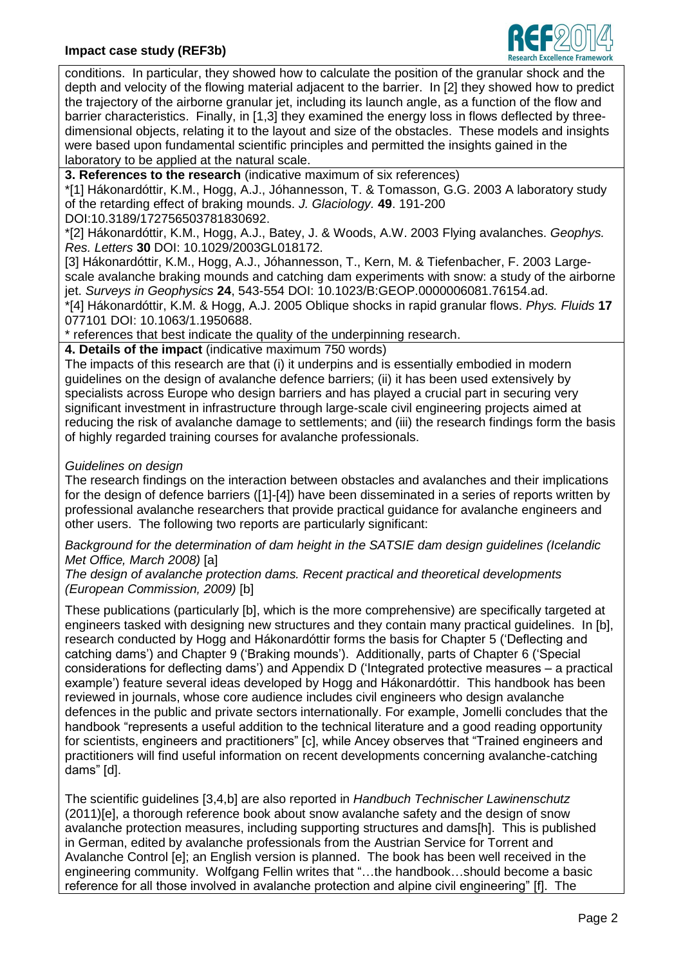

conditions. In particular, they showed how to calculate the position of the granular shock and the depth and velocity of the flowing material adjacent to the barrier. In [2] they showed how to predict the trajectory of the airborne granular jet, including its launch angle, as a function of the flow and barrier characteristics. Finally, in [1,3] they examined the energy loss in flows deflected by threedimensional objects, relating it to the layout and size of the obstacles. These models and insights were based upon fundamental scientific principles and permitted the insights gained in the laboratory to be applied at the natural scale.

**3. References to the research** (indicative maximum of six references)

\*[1] Hákonardóttir, K.M., Hogg, A.J., Jóhannesson, T. & Tomasson, G.G. 2003 A laboratory study of the retarding effect of braking mounds. *J. Glaciology.* **49**. 191-200

[DOI:10.3189/172756503781830692.](http://dx.doi.org/10.3189/172756503781830692)

\*[2] Hákonardóttir, K.M., Hogg, A.J., Batey, J. & Woods, A.W. 2003 [Flying avalanches.](http://www.maths.bris.ac.uk/~maajh/PDFPapers/GRLAval.pdf) *Geophys. Res. Letters* **30** DOI: 10.1029/2003GL018172.

[3] Hákonardóttir, K.M., Hogg, A.J., Jóhannesson, T., Kern, M. & Tiefenbacher, F. 2003 [Large](http://www.maths.bris.ac.uk/~maajh/PDFPapers/SurvGeophys.pdf)[scale avalanche braking mounds and catching dam experiments with snow: a study of the airborne](http://www.maths.bris.ac.uk/~maajh/PDFPapers/SurvGeophys.pdf)  [jet.](http://www.maths.bris.ac.uk/~maajh/PDFPapers/SurvGeophys.pdf) *Surveys in Geophysics* **24**, 543-554 DOI: 10.1023/B:GEOP.0000006081.76154.ad.

\*[4] Hákonardóttir, K.M. & Hogg, A.J. 2005 [Oblique shocks in rapid granular flows.](http://www.maths.bris.ac.uk/~maajh/PDFPapers/PhysFldsDeflect.pdf) *Phys. Fluids* **17** 077101 DOI: 10.1063/1.1950688.

\* references that best indicate the quality of the underpinning research.

**4. Details of the impact** (indicative maximum 750 words)

The impacts of this research are that (i) it underpins and is essentially embodied in modern guidelines on the design of avalanche defence barriers; (ii) it has been used extensively by specialists across Europe who design barriers and has played a crucial part in securing very significant investment in infrastructure through large-scale civil engineering projects aimed at reducing the risk of avalanche damage to settlements; and (iii) the research findings form the basis of highly regarded training courses for avalanche professionals.

# *Guidelines on design*

The research findings on the interaction between obstacles and avalanches and their implications for the design of defence barriers ([1]-[4]) have been disseminated in a series of reports written by professional avalanche researchers that provide practical guidance for avalanche engineers and other users. The following two reports are particularly significant:

*Background for the determination of dam height in the SATSIE dam design guidelines (Icelandic Met Office, March 2008)* [a]

*The design of avalanche protection dams. Recent practical and theoretical developments (European Commission, 2009)* [b]

These publications (particularly [b], which is the more comprehensive) are specifically targeted at engineers tasked with designing new structures and they contain many practical guidelines. In [b], research conducted by Hogg and Hákonardóttir forms the basis for Chapter 5 ('Deflecting and catching dams') and Chapter 9 ('Braking mounds'). Additionally, parts of Chapter 6 ('Special considerations for deflecting dams') and Appendix D ('Integrated protective measures – a practical example') feature several ideas developed by Hogg and Hákonardóttir. This handbook has been reviewed in journals, whose core audience includes civil engineers who design avalanche defences in the public and private sectors internationally. For example, Jomelli concludes that the handbook "represents a useful addition to the technical literature and a good reading opportunity for scientists, engineers and practitioners" [c], while Ancey observes that "Trained engineers and practitioners will find useful information on recent developments concerning avalanche-catching dams" [d].

The scientific guidelines [3,4,b] are also reported in *Handbuch Technischer Lawinenschutz* (2011)[e], a thorough reference book about snow avalanche safety and the design of snow avalanche protection measures, including supporting structures and dams[h]. This is published in German, edited by avalanche professionals from the Austrian Service for Torrent and Avalanche Control [e]; an English version is planned. The book has been well received in the engineering community. Wolfgang Fellin writes that "…the handbook…should become a basic reference for all those involved in avalanche protection and alpine civil engineering" [f]. The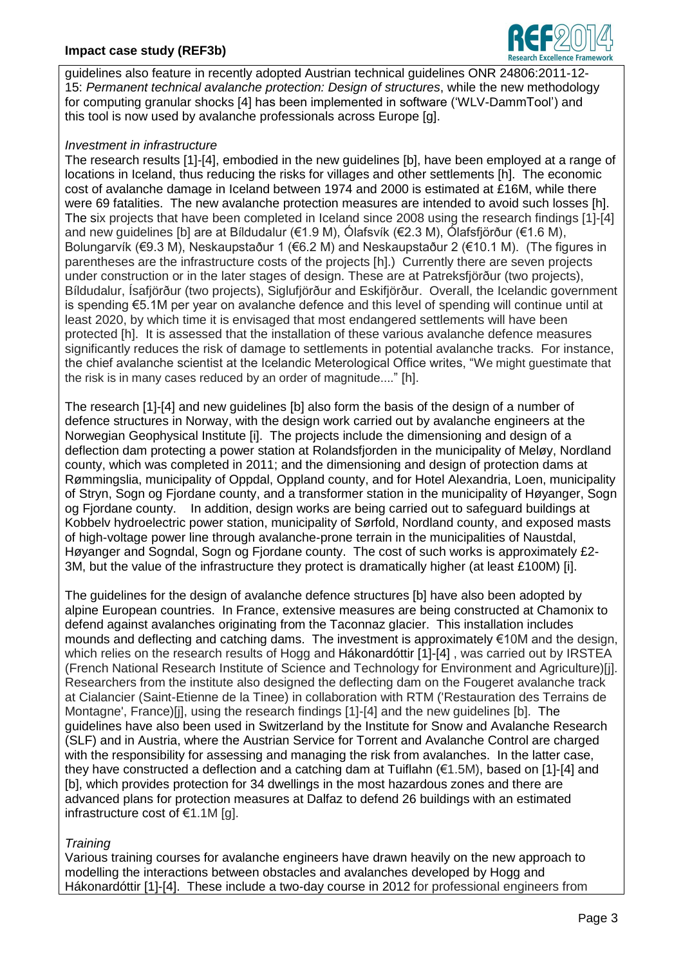## **Impact case study (REF3b)**



guidelines also feature in recently adopted Austrian technical guidelines ONR 24806:2011-12- 15: *Permanent technical avalanche protection: Design of structures*, while the new methodology for computing granular shocks [4] has been implemented in software ('WLV-DammTool') and this tool is now used by avalanche professionals across Europe [g].

## *Investment in infrastructure*

The research results [1]-[4], embodied in the new guidelines [b], have been employed at a range of locations in Iceland, thus reducing the risks for villages and other settlements [h]. The economic cost of avalanche damage in Iceland between 1974 and 2000 is estimated at £16M, while there were 69 fatalities. The new avalanche protection measures are intended to avoid such losses [h]. The six projects that have been completed in Iceland since 2008 using the research findings [1]-[4] and new guidelines [b] are at Bíldudalur (€1.9 M), Ólafsvík (€2.3 M), Ólafsfjörður (€1.6 M), Bolungarvík (€9.3 M), Neskaupstaður 1 (€6.2 M) and Neskaupstaður 2 (€10.1 M). (The figures in parentheses are the infrastructure costs of the projects [h].) Currently there are seven projects under construction or in the later stages of design. These are at Patreksfjörður (two projects), Bíldudalur, Ísafjörður (two projects), Siglufjörður and Eskifjörður. Overall, the Icelandic government is spending €5.1M per year on avalanche defence and this level of spending will continue until at least 2020, by which time it is envisaged that most endangered settlements will have been protected [h]. It is assessed that the installation of these various avalanche defence measures significantly reduces the risk of damage to settlements in potential avalanche tracks. For instance, the chief avalanche scientist at the Icelandic Meterological Office writes, "We might guestimate that the risk is in many cases reduced by an order of magnitude...." [h].

The research [1]-[4] and new guidelines [b] also form the basis of the design of a number of defence structures in Norway, with the design work carried out by avalanche engineers at the Norwegian Geophysical Institute [i]. The projects include the dimensioning and design of a deflection dam protecting a power station at Rolandsfjorden in the municipality of Meløy, Nordland county, which was completed in 2011; and the dimensioning and design of protection dams at Rømmingslia, municipality of Oppdal, Oppland county, and for Hotel Alexandria, Loen, municipality of Stryn, Sogn og Fjordane county, and a transformer station in the municipality of Høyanger, Sogn og Fjordane county. In addition, design works are being carried out to safeguard buildings at Kobbelv hydroelectric power station, municipality of Sørfold, Nordland county, and exposed masts of high-voltage power line through avalanche-prone terrain in the municipalities of Naustdal, Høyanger and Sogndal, Sogn og Fjordane county. The cost of such works is approximately £2- 3M, but the value of the infrastructure they protect is dramatically higher (at least £100M) [i].

The guidelines for the design of avalanche defence structures [b] have also been adopted by alpine European countries. In France, extensive measures are being constructed at Chamonix to defend against avalanches originating from the Taconnaz glacier. This installation includes mounds and deflecting and catching dams. The investment is approximately €10M and the design, which relies on the research results of Hogg and Hákonardóttir [1]-[4], was carried out by IRSTEA (French National Research Institute of Science and Technology for Environment and Agriculture)[j]. Researchers from the institute also designed the deflecting dam on the Fougeret avalanche track at Cialancier (Saint-Etienne de la Tinee) in collaboration with RTM ('Restauration des Terrains de Montagne', France)[j], using the research findings [1]-[4] and the new guidelines [b]. The guidelines have also been used in Switzerland by the Institute for Snow and Avalanche Research (SLF) and in Austria, where the Austrian Service for Torrent and Avalanche Control are charged with the responsibility for assessing and managing the risk from avalanches. In the latter case, they have constructed a deflection and a catching dam at Tuiflahn (€1.5M), based on [1]-[4] and [b], which provides protection for 34 dwellings in the most hazardous zones and there are advanced plans for protection measures at Dalfaz to defend 26 buildings with an estimated infrastructure cost of €1.1M [g].

## *Training*

Various training courses for avalanche engineers have drawn heavily on the new approach to modelling the interactions between obstacles and avalanches developed by Hogg and Hákonardóttir [1]-[4]. These include a two-day course in 2012 for professional engineers from